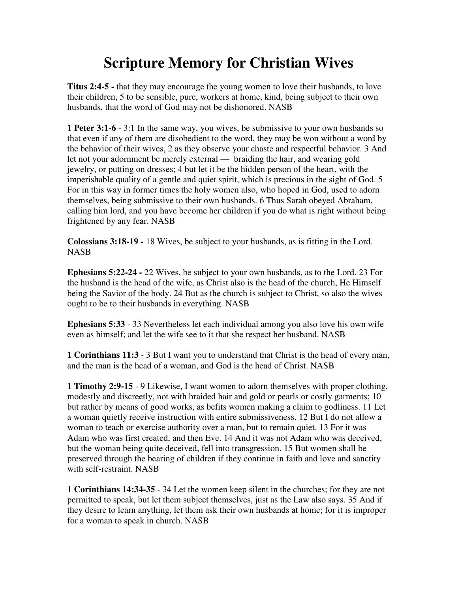## **Scripture Memory for Christian Wives**

**Titus 2:4-5 -** that they may encourage the young women to love their husbands, to love their children, 5 to be sensible, pure, workers at home, kind, being subject to their own husbands, that the word of God may not be dishonored. NASB

**1 Peter 3:1-6** - 3:1 In the same way, you wives, be submissive to your own husbands so that even if any of them are disobedient to the word, they may be won without a word by the behavior of their wives, 2 as they observe your chaste and respectful behavior. 3 And let not your adornment be merely external — braiding the hair, and wearing gold jewelry, or putting on dresses; 4 but let it be the hidden person of the heart, with the imperishable quality of a gentle and quiet spirit, which is precious in the sight of God. 5 For in this way in former times the holy women also, who hoped in God, used to adorn themselves, being submissive to their own husbands. 6 Thus Sarah obeyed Abraham, calling him lord, and you have become her children if you do what is right without being frightened by any fear. NASB

**Colossians 3:18-19 -** 18 Wives, be subject to your husbands, as is fitting in the Lord. **NASB** 

**Ephesians 5:22-24 -** 22 Wives, be subject to your own husbands, as to the Lord. 23 For the husband is the head of the wife, as Christ also is the head of the church, He Himself being the Savior of the body. 24 But as the church is subject to Christ, so also the wives ought to be to their husbands in everything. NASB

**Ephesians 5:33** - 33 Nevertheless let each individual among you also love his own wife even as himself; and let the wife see to it that she respect her husband. NASB

**1 Corinthians 11:3** - 3 But I want you to understand that Christ is the head of every man, and the man is the head of a woman, and God is the head of Christ. NASB

**1 Timothy 2:9-15** - 9 Likewise, I want women to adorn themselves with proper clothing, modestly and discreetly, not with braided hair and gold or pearls or costly garments; 10 but rather by means of good works, as befits women making a claim to godliness. 11 Let a woman quietly receive instruction with entire submissiveness. 12 But I do not allow a woman to teach or exercise authority over a man, but to remain quiet. 13 For it was Adam who was first created, and then Eve. 14 And it was not Adam who was deceived, but the woman being quite deceived, fell into transgression. 15 But women shall be preserved through the bearing of children if they continue in faith and love and sanctity with self-restraint. NASB

**1 Corinthians 14:34-35** - 34 Let the women keep silent in the churches; for they are not permitted to speak, but let them subject themselves, just as the Law also says. 35 And if they desire to learn anything, let them ask their own husbands at home; for it is improper for a woman to speak in church. NASB